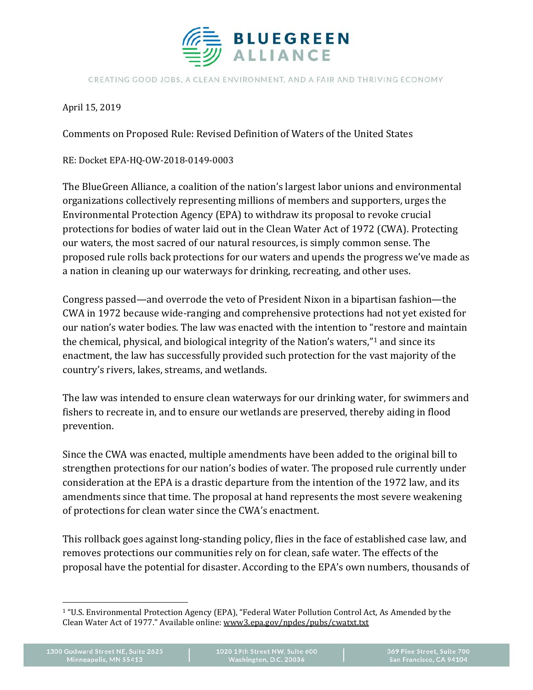

CREATING GOOD JOBS, A CLEAN ENVIRONMENT, AND A FAIR AND THRIVING ECONOMY

April 15, 2019

Comments on Proposed Rule: Revised Definition of Waters of the United States

RE: Docket EPA-HQ-OW-2018-0149-0003

The BlueGreen Alliance, a coalition of the nation's largest labor unions and environmental organizations collectively representing millions of members and supporters, urges the Environmental Protection Agency (EPA) to withdraw its proposal to revoke crucial protections for bodies of water laid out in the Clean Water Act of 1972 (CWA). Protecting our waters, the most sacred of our natural resources, is simply common sense. The proposed rule rolls back protections for our waters and upends the progress we've made as a nation in cleaning up our waterways for drinking, recreating, and other uses.

Congress passed—and overrode the veto of President Nixon in a bipartisan fashion—the CWA in 1972 because wide-ranging and comprehensive protections had not yet existed for our nation's water bodies. The law was enacted with the intention to "restore and maintain the chemical, physical, and biological integrity of the Nation's waters,["1](#page-0-0) and since its enactment, the law has successfully provided such protection for the vast majority of the country's rivers, lakes, streams, and wetlands.

The law was intended to ensure clean waterways for our drinking water, for swimmers and fishers to recreate in, and to ensure our wetlands are preserved, thereby aiding in flood prevention.

Since the CWA was enacted, multiple amendments have been added to the original bill to strengthen protections for our nation's bodies of water. The proposed rule currently under consideration at the EPA is a drastic departure from the intention of the 1972 law, and its amendments since that time. The proposal at hand represents the most severe weakening of protections for clean water since the CWA's enactment.

This rollback goes against long-standing policy, flies in the face of established case law, and removes protections our communities rely on for clean, safe water. The effects of the proposal have the potential for disaster. According to the EPA's own numbers, thousands of

<span id="page-0-0"></span> $\ddot{\phantom{a}}$ <sup>1</sup> "U.S. Environmental Protection Agency (EPA), "Federal Water Pollution Control Act, As Amended by the Clean Water Act of 1977." Available online: [www3.epa.gov/npdes/pubs/cwatxt.txt](http://www3.epa.gov/npdes/pubs/cwatxt.txt)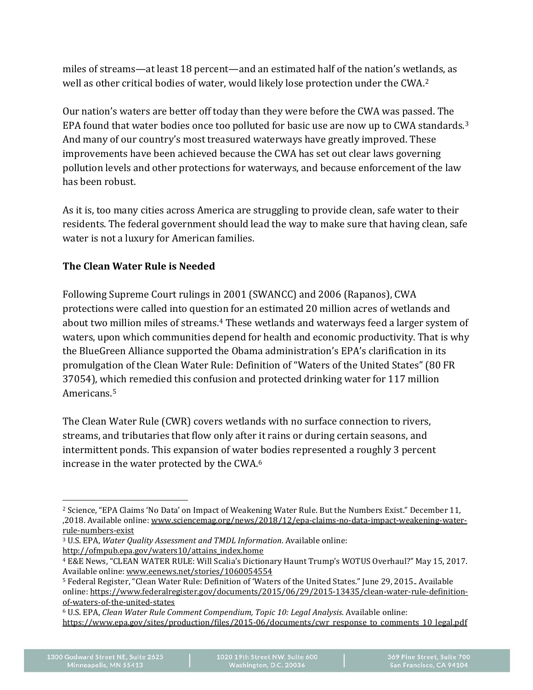miles of streams—at least 18 percent—and an estimated half of the nation's wetlands, as well as other critical bodies of water, would likely lose protection under the CWA.[2](#page-1-0)

Our nation's waters are better off today than they were before the CWA was passed. The EPA found that water bodies once too polluted for basic use are now up to CWA standards.<sup>[3](#page-1-1)</sup> And many of our country's most treasured waterways have greatly improved. These improvements have been achieved because the CWA has set out clear laws governing pollution levels and other protections for waterways, and because enforcement of the law has been robust.

As it is, too many cities across America are struggling to provide clean, safe water to their residents. The federal government should lead the way to make sure that having clean, safe water is not a luxury for American families.

# **The Clean Water Rule is Needed**

Following Supreme Court rulings in 2001 (SWANCC) and 2006 (Rapanos), CWA protections were called into question for an estimated 20 million acres of wetlands and about two million miles of streams.<sup>[4](#page-1-2)</sup> These wetlands and waterways feed a larger system of waters, upon which communities depend for health and economic productivity. That is why the BlueGreen Alliance supported the Obama administration's EPA's clarification in its promulgation of the Clean Water Rule: Definition of "Waters of the United States" (80 FR 37054), which remedied this confusion and protected drinking water for 117 million Americans.[5](#page-1-3)

The Clean Water Rule (CWR) covers wetlands with no surface connection to rivers, streams, and tributaries that flow only after it rains or during certain seasons, and intermittent ponds. This expansion of water bodies represented a roughly 3 percent increase in the water protected by the CWA.[6](#page-1-4)

<span id="page-1-0"></span> $\ddot{\phantom{a}}$ <sup>2</sup> Science, "EPA Claims 'No Data' on Impact of Weakening Water Rule. But the Numbers Exist." December 11, ,2018. Available online: [www.sciencemag.org/news/2018/12/epa-claims-no-data-impact-weakening-water](http://www.sciencemag.org/news/2018/12/epa-claims-no-data-impact-weakening-water-rule-numbers-exist)[rule-numbers-exist](http://www.sciencemag.org/news/2018/12/epa-claims-no-data-impact-weakening-water-rule-numbers-exist)

<span id="page-1-1"></span><sup>3</sup> U.S. EPA, *Water Quality Assessment and TMDL Information*. Available online: [http://ofmpub.epa.gov/waters10/attains\\_index.home](http://ofmpub.epa.gov/waters10/attains_index.home)

<span id="page-1-2"></span><sup>4</sup> E&E News, "CLEAN WATER RULE: Will Scalia's Dictionary Haunt Trump's WOTUS Overhaul?" May 15, 2017. Available online[: www.eenews.net/stories/1060054554](http://www.eenews.net/stories/1060054554)

<span id="page-1-3"></span><sup>5</sup> Federal Register, "Clean Water Rule: Definition of 'Waters of the United States." June 29, 2015.. Available online[: https://www.federalregister.gov/documents/2015/06/29/2015-13435/clean-water-rule-definition](https://www.federalregister.gov/documents/2015/06/29/2015-13435/clean-water-rule-definition-of-waters-of-the-united-states)[of-waters-of-the-united-states](https://www.federalregister.gov/documents/2015/06/29/2015-13435/clean-water-rule-definition-of-waters-of-the-united-states)

<span id="page-1-4"></span><sup>6</sup> U.S. EPA, *Clean Water Rule Comment Compendium, Topic 10: Legal Analysis*. Available online: [https://www.epa.gov/sites/production/files/2015-06/documents/cwr\\_response\\_to\\_comments\\_10\\_legal.pdf](https://www.epa.gov/sites/production/files/2015-06/documents/cwr_response_to_comments_10_legal.pdf)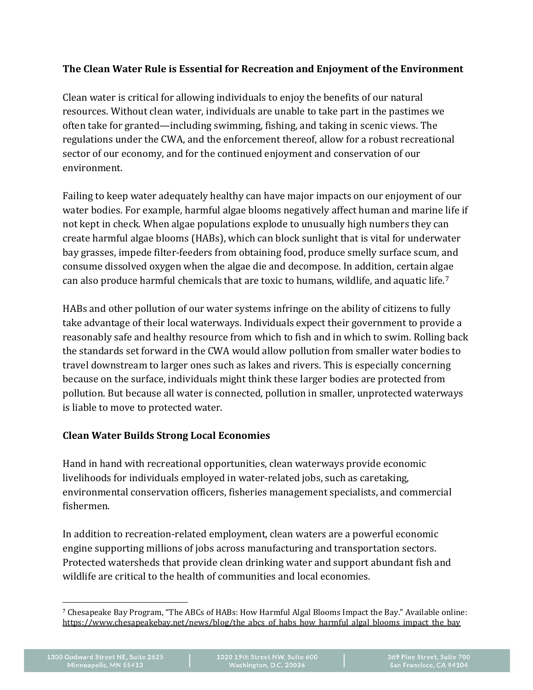## **The Clean Water Rule is Essential for Recreation and Enjoyment of the Environment**

Clean water is critical for allowing individuals to enjoy the benefits of our natural resources. Without clean water, individuals are unable to take part in the pastimes we often take for granted—including swimming, fishing, and taking in scenic views. The regulations under the CWA, and the enforcement thereof, allow for a robust recreational sector of our economy, and for the continued enjoyment and conservation of our environment.

Failing to keep water adequately healthy can have major impacts on our enjoyment of our water bodies. For example, harmful algae blooms negatively affect human and marine life if not kept in check. When algae populations explode to unusually high numbers they can create harmful algae blooms (HABs), which can block sunlight that is vital for underwater bay grasses, impede filter-feeders from obtaining food, produce smelly surface scum, and consume dissolved oxygen when the algae die and decompose. In addition, certain algae can also produce harmful chemicals that are toxic to humans, wildlife, and aquatic life.[7](#page-2-0)

HABs and other pollution of our water systems infringe on the ability of citizens to fully take advantage of their local waterways. Individuals expect their government to provide a reasonably safe and healthy resource from which to fish and in which to swim. Rolling back the standards set forward in the CWA would allow pollution from smaller water bodies to travel downstream to larger ones such as lakes and rivers. This is especially concerning because on the surface, individuals might think these larger bodies are protected from pollution. But because all water is connected, pollution in smaller, unprotected waterways is liable to move to protected water.

#### **Clean Water Builds Strong Local Economies**

Hand in hand with recreational opportunities, clean waterways provide economic livelihoods for individuals employed in water-related jobs, such as caretaking, environmental conservation officers, fisheries management specialists, and commercial fishermen.

In addition to recreation-related employment, clean waters are a powerful economic engine supporting millions of jobs across manufacturing and transportation sectors. Protected watersheds that provide clean drinking water and support abundant fish and wildlife are critical to the health of communities and local economies.

<span id="page-2-0"></span> $\ddot{\phantom{a}}$ <sup>7</sup> Chesapeake Bay Program, "The ABCs of HABs: How Harmful Algal Blooms Impact the Bay." Available online: [https://www.chesapeakebay.net/news/blog/the\\_abcs\\_of\\_habs\\_how\\_harmful\\_algal\\_blooms\\_impact\\_the\\_bay](https://www.chesapeakebay.net/news/blog/the_abcs_of_habs_how_harmful_algal_blooms_impact_the_bay)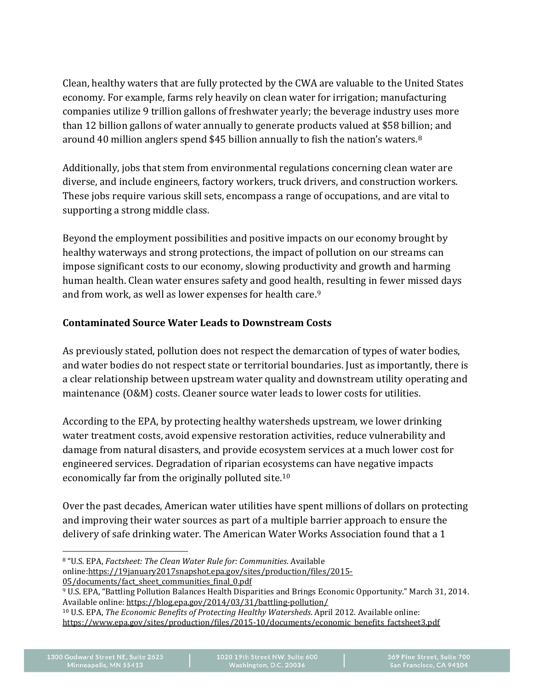Clean, healthy waters that are fully protected by the CWA are valuable to the United States economy. For example, farms rely heavily on clean water for irrigation; manufacturing companies utilize 9 trillion gallons of freshwater yearly; the beverage industry uses more than 12 billion gallons of water annually to generate products valued at \$58 billion; and around 40 million anglers spend \$45 billion annually to fish the nation's waters.[8](#page-3-0)

Additionally, jobs that stem from environmental regulations concerning clean water are diverse, and include engineers, factory workers, truck drivers, and construction workers. These jobs require various skill sets, encompass a range of occupations, and are vital to supporting a strong middle class.

Beyond the employment possibilities and positive impacts on our economy brought by healthy waterways and strong protections, the impact of pollution on our streams can impose significant costs to our economy, slowing productivity and growth and harming human health. Clean water ensures safety and good health, resulting in fewer missed days and from work, as well as lower expenses for health care.<sup>[9](#page-3-1)</sup>

## **Contaminated Source Water Leads to Downstream Costs**

As previously stated, pollution does not respect the demarcation of types of water bodies, and water bodies do not respect state or territorial boundaries. Just as importantly, there is a clear relationship between upstream water quality and downstream utility operating and maintenance (O&M) costs. Cleaner source water leads to lower costs for utilities.

According to the EPA, by protecting healthy watersheds upstream, we lower drinking water treatment costs, avoid expensive restoration activities, reduce vulnerability and damage from natural disasters, and provide ecosystem services at a much lower cost for engineered services. Degradation of riparian ecosystems can have negative impacts economically far from the originally polluted site.[10](#page-3-2)

Over the past decades, American water utilities have spent millions of dollars on protecting and improving their water sources as part of a multiple barrier approach to ensure the delivery of safe drinking water. The American Water Works Association found that a 1

<span id="page-3-0"></span> $\overline{a}$ <sup>8</sup> "U.S. EPA, *Factsheet: The Clean Water Rule for: Communities*. Available online[:https://19january2017snapshot.epa.gov/sites/production/files/2015-](https://19january2017snapshot.epa.gov/sites/production/files/2015-05/documents/fact_sheet_communities_final_0.pdf) [05/documents/fact\\_sheet\\_communities\\_final\\_0.pdf](https://19january2017snapshot.epa.gov/sites/production/files/2015-05/documents/fact_sheet_communities_final_0.pdf)

<span id="page-3-1"></span><sup>9</sup> U.S. EPA, "Battling Pollution Balances Health Disparities and Brings Economic Opportunity." March 31, 2014. Available online[: https://blog.epa.gov/2014/03/31/battling-pollution/](https://blog.epa.gov/2014/03/31/battling-pollution/)

<span id="page-3-2"></span><sup>10</sup> U.S. EPA, *The Economic Benefits of Protecting Healthy Watersheds*. April 2012. Available online: [https://www.epa.gov/sites/production/files/2015-10/documents/economic\\_benefits\\_factsheet3.pdf](https://www.epa.gov/sites/production/files/2015-10/documents/economic_benefits_factsheet3.pdf)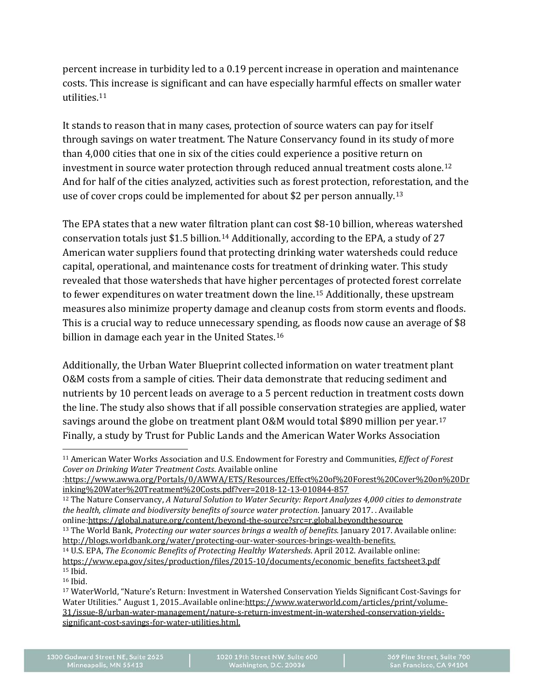percent increase in turbidity led to a 0.19 percent increase in operation and maintenance costs. This increase is significant and can have especially harmful effects on smaller water utilities.[11](#page-4-0)

It stands to reason that in many cases, protection of source waters can pay for itself through savings on water treatment. The Nature Conservancy found in its study of more than 4,000 cities that one in six of the cities could experience a positive return on investment in source water protection through reduced annual treatment costs alone.[12](#page-4-1) And for half of the cities analyzed, activities such as forest protection, reforestation, and the use of cover crops could be implemented for about \$2 per person annually.[13](#page-4-2)

The EPA states that a new water filtration plant can cost \$8-10 billion, whereas watershed conservation totals just \$1.5 billion.[14](#page-4-3) Additionally, according to the EPA, a study of 27 American water suppliers found that protecting drinking water watersheds could reduce capital, operational, and maintenance costs for treatment of drinking water. This study revealed that those watersheds that have higher percentages of protected forest correlate to fewer expenditures on water treatment down the line.[15](#page-4-4) Additionally, these upstream measures also minimize property damage and cleanup costs from storm events and floods. This is a crucial way to reduce unnecessary spending, as floods now cause an average of \$8 billion in damage each year in the United States.<sup>[16](#page-4-5)</sup>

Additionally, the Urban Water Blueprint collected information on water treatment plant O&M costs from a sample of cities. Their data demonstrate that reducing sediment and nutrients by 10 percent leads on average to a 5 percent reduction in treatment costs down the line. The study also shows that if all possible conservation strategies are applied, water savings around the globe on treatment plant O&M would total \$890 million per year.[17](#page-4-6) Finally, a study by Trust for Public Lands and the American Water Works Association

[:https://www.awwa.org/Portals/0/AWWA/ETS/Resources/Effect%20of%20Forest%20Cover%20on%20Dr](https://www.awwa.org/Portals/0/AWWA/ETS/Resources/Effect%20of%20Forest%20Cover%20on%20Drinking%20Water%20Treatment%20Costs.pdf?ver=2018-12-13-010844-857) [inking%20Water%20Treatment%20Costs.pdf?ver=2018-12-13-010844-857](https://www.awwa.org/Portals/0/AWWA/ETS/Resources/Effect%20of%20Forest%20Cover%20on%20Drinking%20Water%20Treatment%20Costs.pdf?ver=2018-12-13-010844-857)

<span id="page-4-1"></span><sup>12</sup> The Nature Conservancy, *A Natural Solution to Water Security: Report Analyzes 4,000 cities to demonstrate the health, climate and biodiversity benefits of source water protection*. January 2017. . Available online[:https://global.nature.org/content/beyond-the-source?src=r.global.beyondthesource](https://global.nature.org/content/beyond-the-source?src=r.global.beyondthesource) <sup>13</sup> The World Bank, *Protecting our water sources brings a wealth of benefits.* January 2017. Available online:

<span id="page-4-3"></span><span id="page-4-2"></span>[http://blogs.worldbank.org/water/protecting-our-water-sources-brings-wealth-benefits.](http://blogs.worldbank.org/water/protecting-our-water-sources-brings-wealth-benefits) <sup>14</sup> U.S. EPA, *The Economic Benefits of Protecting Healthy Watersheds*. April 2012. Available online: [https://www.epa.gov/sites/production/files/2015-10/documents/economic\\_benefits\\_factsheet3.pdf](https://www.epa.gov/sites/production/files/2015-10/documents/economic_benefits_factsheet3.pdf) <sup>15</sup> Ibid.

<span id="page-4-5"></span><span id="page-4-4"></span><sup>16</sup> Ibid.

<span id="page-4-0"></span> $\ddot{\phantom{a}}$ <sup>11</sup> American Water Works Association and U.S. Endowment for Forestry and Communities, *Effect of Forest Cover on Drinking Water Treatment Costs*. Available online

<span id="page-4-6"></span><sup>17</sup> WaterWorld, "Nature's Return: Investment in Watershed Conservation Yields Significant Cost-Savings for Water Utilities." August 1, 2015..Available online[:https://www.waterworld.com/articles/print/volume-](https://www.waterworld.com/articles/print/volume-31/issue-8/urban-water-management/nature-s-return-investment-in-watershed-conservation-yields-significant-cost-savings-for-water-utilities.html)[31/issue-8/urban-water-management/nature-s-return-investment-in-watershed-conservation-yields](https://www.waterworld.com/articles/print/volume-31/issue-8/urban-water-management/nature-s-return-investment-in-watershed-conservation-yields-significant-cost-savings-for-water-utilities.html)[significant-cost-savings-for-water-utilities.html.](https://www.waterworld.com/articles/print/volume-31/issue-8/urban-water-management/nature-s-return-investment-in-watershed-conservation-yields-significant-cost-savings-for-water-utilities.html)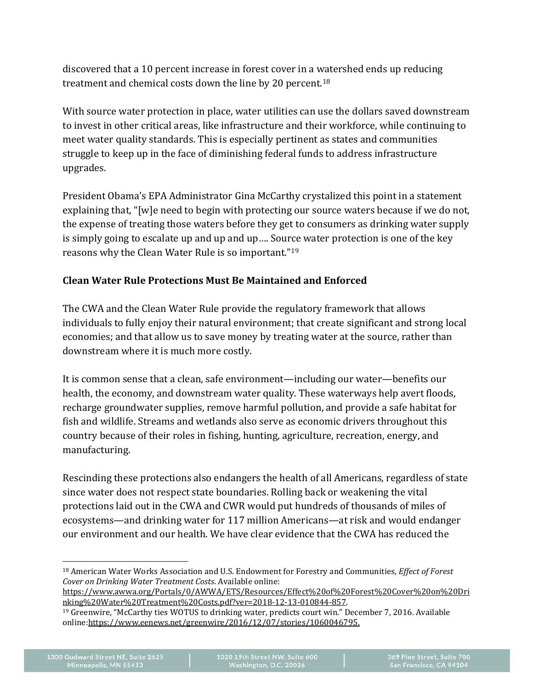discovered that a 10 percent increase in forest cover in a watershed ends up reducing treatment and chemical costs down the line by 20 percent.[18](#page-5-0)

With source water protection in place, water utilities can use the dollars saved downstream to invest in other critical areas, like infrastructure and their workforce, while continuing to meet water quality standards. This is especially pertinent as states and communities struggle to keep up in the face of diminishing federal funds to address infrastructure upgrades.

President Obama's EPA Administrator Gina McCarthy crystalized this point in a statement explaining that, "[w]e need to begin with protecting our source waters because if we do not, the expense of treating those waters before they get to consumers as drinking water supply is simply going to escalate up and up and up…. Source water protection is one of the key reasons why the Clean Water Rule is so important."[19](#page-5-1)

## **Clean Water Rule Protections Must Be Maintained and Enforced**

The CWA and the Clean Water Rule provide the regulatory framework that allows individuals to fully enjoy their natural environment; that create significant and strong local economies; and that allow us to save money by treating water at the source, rather than downstream where it is much more costly.

It is common sense that a clean, safe environment—including our water—benefits our health, the economy, and downstream water quality. These waterways help avert floods, recharge groundwater supplies, remove harmful pollution, and provide a safe habitat for fish and wildlife. Streams and wetlands also serve as economic drivers throughout this country because of their roles in fishing, hunting, agriculture, recreation, energy, and manufacturing.

Rescinding these protections also endangers the health of all Americans, regardless of state since water does not respect state boundaries. Rolling back or weakening the vital protections laid out in the CWA and CWR would put hundreds of thousands of miles of ecosystems—and drinking water for 117 million Americans—at risk and would endanger our environment and our health. We have clear evidence that the CWA has reduced the

[https://www.awwa.org/Portals/0/AWWA/ETS/Resources/Effect%20of%20Forest%20Cover%20on%20Dri](https://www.awwa.org/Portals/0/AWWA/ETS/Resources/Effect%20of%20Forest%20Cover%20on%20Drinking%20Water%20Treatment%20Costs.pdf?ver=2018-12-13-010844-857) [nking%20Water%20Treatment%20Costs.pdf?ver=2018-12-13-010844-857.](https://www.awwa.org/Portals/0/AWWA/ETS/Resources/Effect%20of%20Forest%20Cover%20on%20Drinking%20Water%20Treatment%20Costs.pdf?ver=2018-12-13-010844-857)

<span id="page-5-0"></span> $\overline{a}$ <sup>18</sup> American Water Works Association and U.S. Endowment for Forestry and Communities, *Effect of Forest Cover on Drinking Water Treatment Costs*. Available online:

<span id="page-5-1"></span><sup>19</sup> Greenwire, "McCarthy ties WOTUS to drinking water, predicts court win." December 7, 2016. Available online[:https://www.eenews.net/greenwire/2016/12/07/stories/1060046795.](https://www.eenews.net/greenwire/2016/12/07/stories/1060046795)